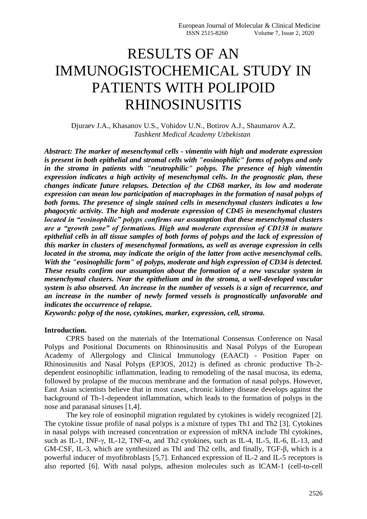# RESULTS OF AN IMMUNOGISTOCHEMICAL STUDY IN PATIENTS WITH POLIPOID RHINOSINUSITIS

Djuraev J.A., Khasanov U.S., Vohidov U.N., Botirov A.J., Shaumarov A.Z. *Tashkent Medical Academy Uzbekistan*

*Abstract: The marker of mesenchymal cells - vimentin with high and moderate expression is present in both epithelial and stromal cells with "eosinophilic" forms of polyps and only in the stroma in patients with "neutrophilic" polyps. The presence of high vimentin expression indicates a high activity of mesenchymal cells. In the prognostic plan, these changes indicate future relapses. Detection of the CD68 marker, its low and moderate expression can mean low participation of macrophages in the formation of nasal polyps of both forms. The presence of single stained cells in mesenchymal clusters indicates a low phagocytic activity. The high and moderate expression of CD45 in mesenchymal clusters located in "eosinophilic" polyps confirms our assumption that these mesenchymal clusters are a "growth zone" of formations. High and moderate expression of CD138 in mature epithelial cells in all tissue samples of both forms of polyps and the lack of expression of this marker in clusters of mesenchymal formations, as well as average expression in cells located in the stroma, may indicate the origin of the latter from active mesenchymal cells. With the "eosinophilic form" of polyps, moderate and high expression of CD34 is detected. These results confirm our assumption about the formation of a new vascular system in mesenchymal clusters. Near the epithelium and in the stroma, a well-developed vascular system is also observed. An increase in the number of vessels is a sign of recurrence, and an increase in the number of newly formed vessels is prognostically unfavorable and indicates the occurrence of relapse.*

*Keywords: polyp of the nose, cytokines, marker, expression, cell, stroma.*

### **Introduction.**

CPRS based on the materials of the International Consensus Conference on Nasal Polyps and Positional Documents on Rhinosinusitis and Nasal Polyps of the European Academy of Allergology and Clinical Immunology (EAACI) - Position Paper on Rhinosinusitis and Nasal Polyps (EP3OS, 2012) is defined as chronic productive Th-2 dependent eosinophilic inflammation, leading to remodeling of the nasal mucosa, its edema, followed by prolapse of the mucous membrane and the formation of nasal polyps. However, East Asian scientists believe that in most cases, chronic kidney disease develops against the background of Th-1-dependent inflammation, which leads to the formation of polyps in the nose and paranasal sinuses [1,4].

The key role of eosinophil migration regulated by cytokines is widely recognized [2]. The cytokine tissue profile of nasal polyps is a mixture of types Th1 and Th2 [3]. Cytokines in nasal polyps with increased concentration or expression of mRNA include Thl cytokines, such as IL-1, INF-γ, IL-12, TNF-α, and Th2 cytokines, such as IL-4, IL-5, IL-6, IL-13, and GM-CSF, IL-3, which are synthesized as Thl and Th2 cells, and finally, TGF-β, which is a powerful inducer of myofibroblasts [5,7]. Enhanced expression of IL-2 and IL-5 receptors is also reported [6]. With nasal polyps, adhesion molecules such as ICAM-1 (cell-to-cell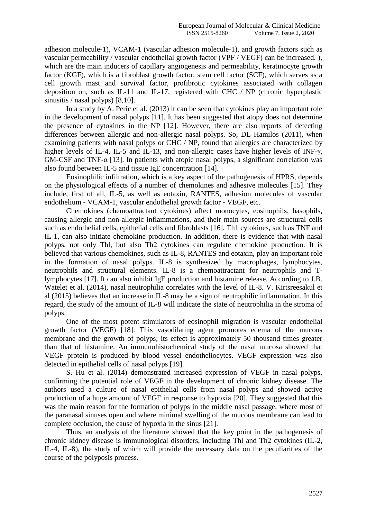adhesion molecule-1), VCAM-1 (vascular adhesion molecule-1), and growth factors such as vascular permeability / vascular endothelial growth factor (VPF / VEGF) can be increased. ), which are the main inducers of capillary angiogenesis and permeability, keratinocyte growth factor (KGF), which is a fibroblast growth factor, stem cell factor (SCF), which serves as a cell growth mast and survival factor, profibrotic cytokines associated with collagen deposition on, such as IL-11 and IL-17, registered with CHC / NP (chronic hyperplastic sinusitis / nasal polyps) [8,10].

In a study by A. Peric et al. (2013) it can be seen that cytokines play an important role in the development of nasal polyps [11]. It has been suggested that atopy does not determine the presence of cytokines in the NP [12]. However, there are also reports of detecting differences between allergic and non-allergic nasal polyps. So, DL Hamilos (2011), when examining patients with nasal polyps or CHC / NP, found that allergies are characterized by higher levels of IL-4, IL-5 and IL-13, and non-allergic cases have higher levels of INF-γ, GM-CSF and TNF-α [13]. In patients with atopic nasal polyps, a significant correlation was also found between IL-5 and tissue IgE concentration [14].

Eosinophilic infiltration, which is a key aspect of the pathogenesis of HPRS, depends on the physiological effects of a number of chemokines and adhesive molecules [15]. They include, first of all, IL-5, as well as eotaxin, RANTES, adhesion molecules of vascular endothelium - VCAM-1, vascular endothelial growth factor - VEGF, etc.

Chemokines (chemoattractant cytokines) affect monocytes, eosinophils, basophils, causing allergic and non-allergic inflammations, and their main sources are structural cells such as endothelial cells, epithelial cells and fibroblasts [16]. Th1 cytokines, such as TNF and IL-1, can also initiate chemokine production. In addition, there is evidence that with nasal polyps, not only Thl, but also Th2 cytokines can regulate chemokine production. It is believed that various chemokines, such as IL-8, RANTES and eotaxin, play an important role in the formation of nasal polyps. IL-8 is synthesized by macrophages, lymphocytes, neutrophils and structural elements. IL-8 is a chemoattractant for neutrophils and Tlymphocytes [17]. It can also inhibit IgE production and histamine release. According to J.B. Watelet et al. (2014), nasal neutrophilia correlates with the level of IL-8. V. Kirtsreesakul et al (2015) believes that an increase in IL-8 may be a sign of neutrophilic inflammation. In this regard, the study of the amount of IL-8 will indicate the state of neutrophilia in the stroma of polyps.

One of the most potent stimulators of eosinophil migration is vascular endothelial growth factor (VEGF) [18]. This vasodilating agent promotes edema of the mucous membrane and the growth of polyps; its effect is approximately 50 thousand times greater than that of histamine. An immunohistochemical study of the nasal mucosa showed that VEGF protein is produced by blood vessel endotheliocytes. VEGF expression was also detected in epithelial cells of nasal polyps [19].

S. Hu et al. (2014) demonstrated increased expression of VEGF in nasal polyps, confirming the potential role of VEGF in the development of chronic kidney disease. The authors used a culture of nasal epithelial cells from nasal polyps and showed active production of a huge amount of VEGF in response to hypoxia [20]. They suggested that this was the main reason for the formation of polyps in the middle nasal passage, where most of the paranasal sinuses open and where minimal swelling of the mucous membrane can lead to complete occlusion, the cause of hypoxia in the sinus [21].

Thus, an analysis of the literature showed that the key point in the pathogenesis of chronic kidney disease is immunological disorders, including Thl and Th2 cytokines (IL-2, IL-4, IL-8), the study of which will provide the necessary data on the peculiarities of the course of the polyposis process.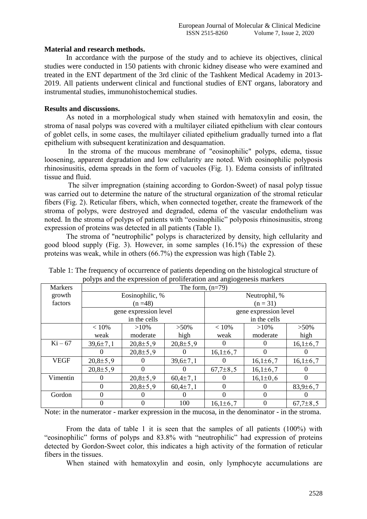## **Material and research methods.**

In accordance with the purpose of the study and to achieve its objectives, clinical studies were conducted in 150 patients with chronic kidney disease who were examined and treated in the ENT department of the 3rd clinic of the Tashkent Medical Academy in 2013- 2019. All patients underwent clinical and functional studies of ENT organs, laboratory and instrumental studies, immunohistochemical studies.

#### **Results and discussions.**

As noted in a morphological study when stained with hematoxylin and eosin, the stroma of nasal polyps was covered with a multilayer ciliated epithelium with clear contours of goblet cells, in some cases, the multilayer ciliated epithelium gradually turned into a flat epithelium with subsequent keratinization and desquamation.

In the stroma of the mucous membrane of "eosinophilic" polyps, edema, tissue loosening, apparent degradation and low cellularity are noted. With eosinophilic polyposis rhinosinusitis, edema spreads in the form of vacuoles (Fig. 1). Edema consists of infiltrated tissue and fluid.

The silver impregnation (staining according to Gordon-Sweet) of nasal polyp tissue was carried out to determine the nature of the structural organization of the stromal reticular fibers (Fig. 2). Reticular fibers, which, when connected together, create the framework of the stroma of polyps, were destroyed and degraded, edema of the vascular endothelium was noted. In the stroma of polyps of patients with "eosinophilic" polyposis rhinosinusitis, strong expression of proteins was detected in all patients (Table 1).

The stroma of "neutrophilic" polyps is characterized by density, high cellularity and good blood supply (Fig. 3). However, in some samples (16.1%) the expression of these proteins was weak, while in others (66.7%) the expression was high (Table 2).

| <b>Markers</b> | The form, $(n=79)$ |                       |                |                       |                |                |  |
|----------------|--------------------|-----------------------|----------------|-----------------------|----------------|----------------|--|
| growth         |                    | Eosinophilic, %       |                | Neutrophil, %         |                |                |  |
| factors        |                    | $(n=48)$              |                | $(n = 31)$            |                |                |  |
|                |                    | gene expression level |                | gene expression level |                |                |  |
|                | in the cells       |                       |                | in the cells          |                |                |  |
|                | < 10%              | $>10\%$               | $>50\%$        | < 10%                 | $>10\%$        | $>50\%$        |  |
|                | weak               | moderate              | high           | weak                  | moderate       | high           |  |
| $Ki - 67$      | $39,6 \pm 7,1$     | $20,8 \pm 5,9$        | $20,8 \pm 5,9$ | 0                     |                | $16,1\pm 6,7$  |  |
|                |                    | $20,8 \pm 5,9$        |                | $16,1\pm 6,7$         |                |                |  |
| <b>VEGF</b>    | $20,8 \pm 5,9$     |                       | $39,6 \pm 7,1$ |                       | $16,1{\pm}6,7$ | $16,1\pm 6,7$  |  |
|                | $20,8 \pm 5,9$     | $\mathbf{\Omega}$     |                | $67,7\pm8,5$          | $16,1{\pm}6,7$ |                |  |
| Vimentin       |                    | $20,8 \pm 5,9$        | $60,4{\pm}7,1$ | 0                     | $16,1\pm0,6$   | 0              |  |
|                |                    | $20,8 \pm 5,9$        | $60,4{\pm}7,1$ | 0                     |                | $83,9 \pm 6,7$ |  |
| Gordon         | $\Omega$           | $\theta$              |                | 0                     | $\Omega$       |                |  |
|                |                    | 0                     | 100            | $16,1{\pm}6,7$        |                | $67,7\pm8,5$   |  |

Table 1: The frequency of occurrence of patients depending on the histological structure of polyps and the expression of proliferation and angiogenesis markers

Note: in the numerator - marker expression in the mucosa, in the denominator - in the stroma.

From the data of table 1 it is seen that the samples of all patients (100%) with "eosinophilic" forms of polyps and 83.8% with "neutrophilic" had expression of proteins detected by Gordon-Sweet color, this indicates a high activity of the formation of reticular fibers in the tissues.

When stained with hematoxylin and eosin, only lymphocyte accumulations are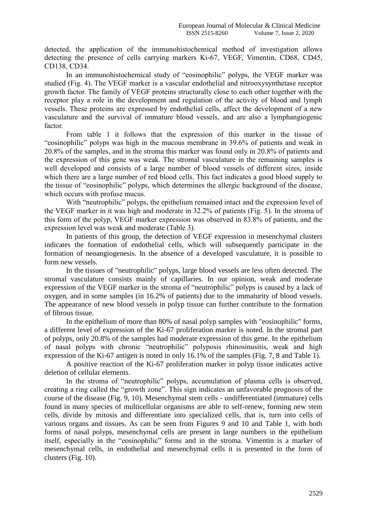detected, the application of the immunohistochemical method of investigation allows detecting the presence of cells carrying markers Ki-67, VEGF, Vimentin, CD68, CD45, CD138, CD34.

In an immunohistochemical study of "eosinophilic" polyps, the VEGF marker was studied (Fig. 4). The VEGF marker is a vascular endothelial and nitrooxysynthetase receptor growth factor. The family of VEGF proteins structurally close to each other together with the receptor play a role in the development and regulation of the activity of blood and lymph vessels. These proteins are expressed by endothelial cells, affect the development of a new vasculature and the survival of immature blood vessels, and are also a lymphangiogenic factor.

From table 1 it follows that the expression of this marker in the tissue of "eosinophilic" polyps was high in the mucous membrane in 39.6% of patients and weak in 20.8% of the samples, and in the stroma this marker was found only in 20.8% of patients and the expression of this gene was weak. The stromal vasculature in the remaining samples is well developed and consists of a large number of blood vessels of different sizes, inside which there are a large number of red blood cells. This fact indicates a good blood supply to the tissue of "eosinophilic" polyps, which determines the allergic background of the disease, which occurs with profuse mucus.

With "neutrophilic" polyps, the epithelium remained intact and the expression level of the VEGF marker in it was high and moderate in 32.2% of patients (Fig. 5). In the stroma of this form of the polyp, VEGF marker expression was observed in 83.8% of patients, and the expression level was weak and moderate (Table 3).

In patients of this group, the detection of VEGF expression in mesenchymal clusters indicates the formation of endothelial cells, which will subsequently participate in the formation of neoangiogenesis. In the absence of a developed vasculature, it is possible to form new vessels.

In the tissues of "neutrophilic" polyps, large blood vessels are less often detected. The stromal vasculature consists mainly of capillaries. In our opinion, weak and moderate expression of the VEGF marker in the stroma of "neutrophilic" polyps is caused by a lack of oxygen, and in some samples (in 16.2% of patients) due to the immaturity of blood vessels. The appearance of new blood vessels in polyp tissue can further contribute to the formation of fibrous tissue.

In the epithelium of more than 80% of nasal polyp samples with "eosinophilic" forms, a different level of expression of the Ki-67 proliferation marker is noted. In the stromal part of polyps, only 20.8% of the samples had moderate expression of this gene. In the epithelium of nasal polyps with chronic "neutrophilic" polyposis rhinosinusitis, weak and high expression of the Ki-67 antigen is noted in only 16.1% of the samples (Fig. 7, 8 and Table 1).

A positive reaction of the Ki-67 proliferation marker in polyp tissue indicates active deletion of cellular elements.

In the stroma of "neutrophilic" polyps, accumulation of plasma cells is observed, creating a ring called the "growth zone". This sign indicates an unfavorable prognosis of the course of the disease (Fig. 9, 10). Mesenchymal stem cells - undifferentiated (immature) cells found in many species of multicellular organisms are able to self-renew, forming new stem cells, divide by mitosis and differentiate into specialized cells, that is, turn into cells of various organs and tissues. As can be seen from Figures 9 and 10 and Table 1, with both forms of nasal polyps, mesenchymal cells are present in large numbers in the epithelium itself, especially in the "eosinophilic" forms and in the stroma. Vimentin is a marker of mesenchymal cells, in endothelial and mesenchymal cells it is presented in the form of clusters (Fig. 10).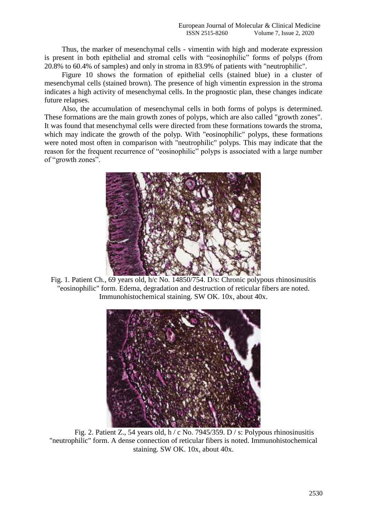Thus, the marker of mesenchymal cells - vimentin with high and moderate expression is present in both epithelial and stromal cells with "eosinophilic" forms of polyps (from 20.8% to 60.4% of samples) and only in stroma in 83.9% of patients with "neutrophilic".

Figure 10 shows the formation of epithelial cells (stained blue) in a cluster of mesenchymal cells (stained brown). The presence of high vimentin expression in the stroma indicates a high activity of mesenchymal cells. In the prognostic plan, these changes indicate future relapses.

Also, the accumulation of mesenchymal cells in both forms of polyps is determined. These formations are the main growth zones of polyps, which are also called "growth zones". It was found that mesenchymal cells were directed from these formations towards the stroma, which may indicate the growth of the polyp. With "eosinophilic" polyps, these formations were noted most often in comparison with "neutrophilic" polyps. This may indicate that the reason for the frequent recurrence of "eosinophilic" polyps is associated with a large number of "growth zones".



Fig. 1. Patient Ch., 69 years old, h/c No. 14850/754. D/s: Chronic polypous rhinosinusitis "eosinophilic" form. Edema, degradation and destruction of reticular fibers are noted. Immunohistochemical staining. SW OK. 10x, about 40x.



Fig. 2. Patient Z., 54 years old, h / c No. 7945/359. D / s: Polypous rhinosinusitis "neutrophilic" form. A dense connection of reticular fibers is noted. Immunohistochemical staining. SW OK. 10x, about 40x.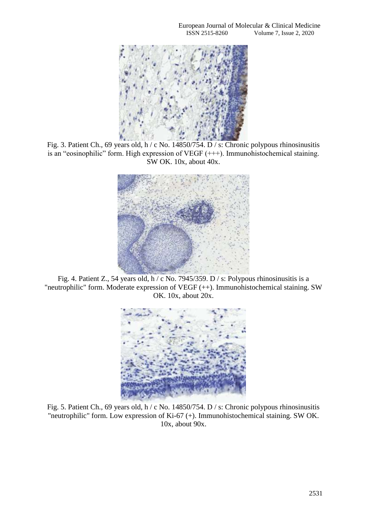

Fig. 3. Patient Ch., 69 years old, h / c No. 14850/754. D / s: Chronic polypous rhinosinusitis is an "eosinophilic" form. High expression of VEGF (+++). Immunohistochemical staining. SW OK. 10x, about 40x.



Fig. 4. Patient Z., 54 years old, h / c No. 7945/359. D / s: Polypous rhinosinusitis is a "neutrophilic" form. Moderate expression of VEGF (++). Immunohistochemical staining. SW OK. 10x, about 20x.



Fig. 5. Patient Ch., 69 years old, h / c No. 14850/754. D / s: Chronic polypous rhinosinusitis "neutrophilic" form. Low expression of Ki-67 (+). Immunohistochemical staining. SW OK. 10x, about 90x.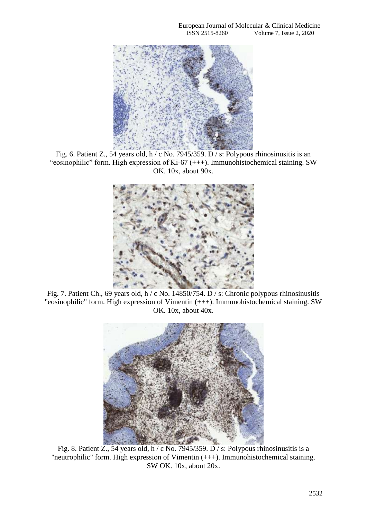

Fig. 6. Patient Z., 54 years old, h / c No. 7945/359. D / s: Polypous rhinosinusitis is an "eosinophilic" form. High expression of Ki-67 (+++). Immunohistochemical staining. SW OK. 10x, about 90x.



Fig. 7. Patient Ch., 69 years old, h / c No. 14850/754. D / s: Chronic polypous rhinosinusitis "eosinophilic" form. High expression of Vimentin (+++). Immunohistochemical staining. SW OK. 10x, about 40x.



Fig. 8. Patient Z., 54 years old, h / c No. 7945/359. D / s: Polypous rhinosinusitis is a "neutrophilic" form. High expression of Vimentin (+++). Immunohistochemical staining. SW OK. 10x, about 20x.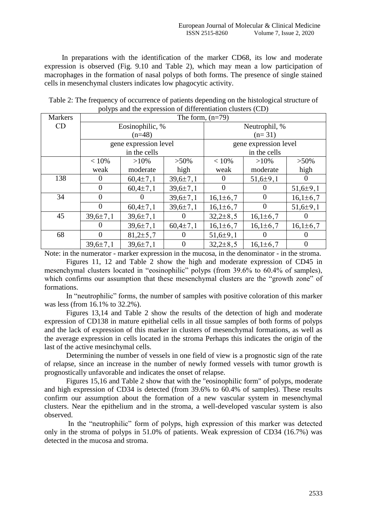In preparations with the identification of the marker CD68, its low and moderate expression is observed (Fig. 9.10 and Table 2), which may mean a low participation of macrophages in the formation of nasal polyps of both forms. The presence of single stained cells in mesenchymal clusters indicates low phagocytic activity.

| <b>Markers</b> | The form, $(n=79)$    |                |                |                       |                |                |  |
|----------------|-----------------------|----------------|----------------|-----------------------|----------------|----------------|--|
| CD             | Eosinophilic, %       |                |                | Neutrophil, %         |                |                |  |
|                | $(n=48)$              |                |                | $(n=31)$              |                |                |  |
|                | gene expression level |                |                | gene expression level |                |                |  |
|                | in the cells          |                |                | in the cells          |                |                |  |
|                | < 10%                 | $>10\%$        | $>50\%$        | < 10%                 | $>10\%$        | $>50\%$        |  |
|                | weak                  | moderate       | high           | weak                  | moderate       | high           |  |
| 138            |                       | $60,4{\pm}7,1$ | $39,6 \pm 7,1$ | $\theta$              | $51,6 \pm 9,1$ | $\theta$       |  |
|                | 0                     | $60,4{\pm}7,1$ | $39,6{\pm}7,1$ |                       | O              | $51,6 \pm 9,1$ |  |
| 34             | $\Omega$              |                | $39,6 \pm 7,1$ | $16,1{\pm}6,7$        | $\overline{0}$ | $16,1\pm 6,7$  |  |
|                |                       | $60,4{\pm}7,1$ | $39,6 \pm 7,1$ | $16,1\pm 6,7$         | $\Omega$       | $51,6 \pm 9,1$ |  |
| 45             | $39,6 \pm 7,1$        | $39,6 \pm 7,1$ |                | $32,2\pm 8,5$         | $16,1\pm 6,7$  |                |  |
|                |                       | $39,6 \pm 7,1$ | $60,4{\pm}7,1$ | $16,1{\pm}6,7$        | $16,1\pm 6,7$  | $16,1\pm 6,7$  |  |
| 68             | 0                     | 81,2±5,7       | $\mathbf{U}$   | $51,6 \pm 9,1$        |                | O              |  |
|                | $39,6{\pm}7,1$        | $39,6 \pm 7,1$ | $\Omega$       | $32,2\pm 8,5$         | $16,1\pm 6,7$  | $\theta$       |  |

| Table 2: The frequency of occurrence of patients depending on the histological structure of |
|---------------------------------------------------------------------------------------------|
| polyps and the expression of differentiation clusters (CD)                                  |

Note: in the numerator - marker expression in the mucosa, in the denominator - in the stroma.

Figures 11, 12 and Table 2 show the high and moderate expression of CD45 in mesenchymal clusters located in "eosinophilic" polyps (from 39.6% to 60.4% of samples), which confirms our assumption that these mesenchymal clusters are the "growth zone" of formations.

In "neutrophilic" forms, the number of samples with positive coloration of this marker was less (from 16.1% to 32.2%).

Figures 13,14 and Table 2 show the results of the detection of high and moderate expression of CD138 in mature epithelial cells in all tissue samples of both forms of polyps and the lack of expression of this marker in clusters of mesenchymal formations, as well as the average expression in cells located in the stroma Perhaps this indicates the origin of the last of the active mesinchymal cells.

Determining the number of vessels in one field of view is a prognostic sign of the rate of relapse, since an increase in the number of newly formed vessels with tumor growth is prognostically unfavorable and indicates the onset of relapse.

Figures 15,16 and Table 2 show that with the "eosinophilic form" of polyps, moderate and high expression of CD34 is detected (from 39.6% to 60.4% of samples). These results confirm our assumption about the formation of a new vascular system in mesenchymal clusters. Near the epithelium and in the stroma, a well-developed vascular system is also observed.

In the "neutrophilic" form of polyps, high expression of this marker was detected only in the stroma of polyps in 51.0% of patients. Weak expression of CD34 (16.7%) was detected in the mucosa and stroma.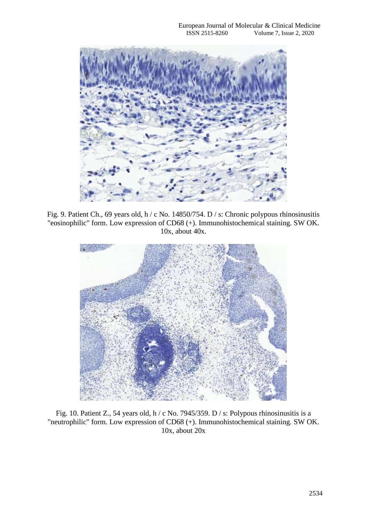

Fig. 9. Patient Ch., 69 years old, h / c No. 14850/754. D / s: Chronic polypous rhinosinusitis "eosinophilic" form. Low expression of CD68 (+). Immunohistochemical staining. SW OK. 10x, about 40x.



Fig. 10. Patient Z., 54 years old, h / c No. 7945/359. D / s: Polypous rhinosinusitis is a "neutrophilic" form. Low expression of CD68 (+). Immunohistochemical staining. SW OK. 10x, about 20x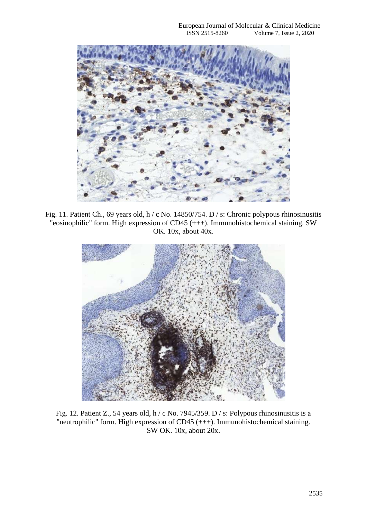

Fig. 11. Patient Ch., 69 years old, h / c No. 14850/754. D / s: Chronic polypous rhinosinusitis "eosinophilic" form. High expression of CD45 (+++). Immunohistochemical staining. SW OK. 10x, about 40x.



Fig. 12. Patient Z., 54 years old, h / c No. 7945/359. D / s: Polypous rhinosinusitis is a "neutrophilic" form. High expression of CD45 (+++). Immunohistochemical staining. SW OK. 10x, about 20x.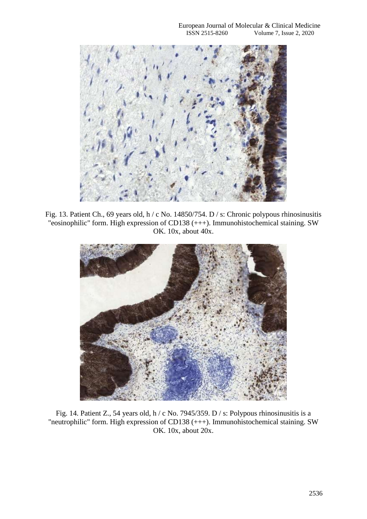

Fig. 13. Patient Ch., 69 years old, h / c No. 14850/754. D / s: Chronic polypous rhinosinusitis "eosinophilic" form. High expression of CD138 (+++). Immunohistochemical staining. SW OK. 10x, about 40x.



Fig. 14. Patient Z., 54 years old, h / c No. 7945/359. D / s: Polypous rhinosinusitis is a "neutrophilic" form. High expression of CD138 (+++). Immunohistochemical staining. SW OK. 10x, about 20x.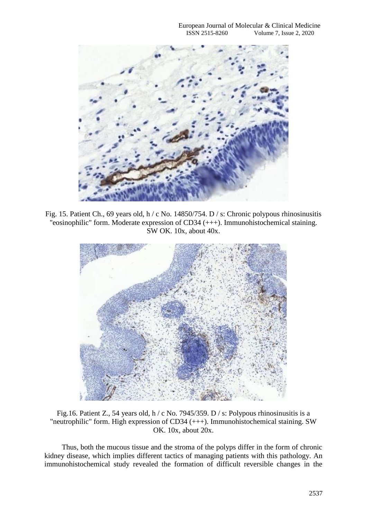

Fig. 15. Patient Ch., 69 years old, h / c No. 14850/754. D / s: Chronic polypous rhinosinusitis "eosinophilic" form. Moderate expression of CD34 (+++). Immunohistochemical staining. SW OK. 10x, about 40x.



Fig.16. Patient Z., 54 years old, h / c No. 7945/359. D / s: Polypous rhinosinusitis is a "neutrophilic" form. High expression of CD34 (+++). Immunohistochemical staining. SW OK. 10x, about 20x.

Thus, both the mucous tissue and the stroma of the polyps differ in the form of chronic kidney disease, which implies different tactics of managing patients with this pathology. An immunohistochemical study revealed the formation of difficult reversible changes in the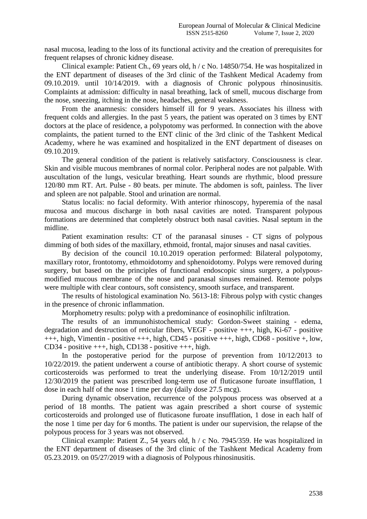nasal mucosa, leading to the loss of its functional activity and the creation of prerequisites for frequent relapses of chronic kidney disease.

Clinical example: Patient Ch., 69 years old, h / c No. 14850/754. He was hospitalized in the ENT department of diseases of the 3rd clinic of the Tashkent Medical Academy from 09.10.2019. until 10/14/2019. with a diagnosis of Chronic polypous rhinosinusitis. Complaints at admission: difficulty in nasal breathing, lack of smell, mucous discharge from the nose, sneezing, itching in the nose, headaches, general weakness.

From the anamnesis: considers himself ill for 9 years. Associates his illness with frequent colds and allergies. In the past 5 years, the patient was operated on 3 times by ENT doctors at the place of residence, a polypotomy was performed. In connection with the above complaints, the patient turned to the ENT clinic of the 3rd clinic of the Tashkent Medical Academy, where he was examined and hospitalized in the ENT department of diseases on 09.10.2019.

The general condition of the patient is relatively satisfactory. Consciousness is clear. Skin and visible mucous membranes of normal color. Peripheral nodes are not palpable. With auscultation of the lungs, vesicular breathing. Heart sounds are rhythmic, blood pressure 120/80 mm RT. Art. Pulse - 80 beats. per minute. The abdomen is soft, painless. The liver and spleen are not palpable. Stool and urination are normal.

Status localis: no facial deformity. With anterior rhinoscopy, hyperemia of the nasal mucosa and mucous discharge in both nasal cavities are noted. Transparent polypous formations are determined that completely obstruct both nasal cavities. Nasal septum in the midline.

Patient examination results: CT of the paranasal sinuses - CT signs of polypous dimming of both sides of the maxillary, ethmoid, frontal, major sinuses and nasal cavities.

By decision of the council 10.10.2019 operation performed: Bilateral polypotomy, maxillary rotor, frontotomy, ethmoidotomy and sphenoidotomy. Polyps were removed during surgery, but based on the principles of functional endoscopic sinus surgery, a polypousmodified mucous membrane of the nose and paranasal sinuses remained. Remote polyps were multiple with clear contours, soft consistency, smooth surface, and transparent.

The results of histological examination No. 5613-18: Fibrous polyp with cystic changes in the presence of chronic inflammation.

Morphometry results: polyp with a predominance of eosinophilic infiltration.

The results of an immunohistochemical study: Gordon-Sweet staining - edema, degradation and destruction of reticular fibers, VEGF - positive +++, high, Ki-67 - positive +++, high, Vimentin - positive +++, high, CD45 - positive +++, high, CD68 - positive +, low, CD34 - positive  $++$ , high, CD138 - positive  $++$ , high.

In the postoperative period for the purpose of prevention from 10/12/2013 to 10/22/2019. the patient underwent a course of antibiotic therapy. A short course of systemic corticosteroids was performed to treat the underlying disease. From 10/12/2019 until 12/30/2019 the patient was prescribed long-term use of fluticasone furoate insufflation, 1 dose in each half of the nose 1 time per day (daily dose 27.5 mcg).

During dynamic observation, recurrence of the polypous process was observed at a period of 18 months. The patient was again prescribed a short course of systemic corticosteroids and prolonged use of fluticasone furoate insufflation, 1 dose in each half of the nose 1 time per day for 6 months. The patient is under our supervision, the relapse of the polypous process for 3 years was not observed.

Clinical example: Patient Z., 54 years old, h / c No. 7945/359. He was hospitalized in the ENT department of diseases of the 3rd clinic of the Tashkent Medical Academy from 05.23.2019. on 05/27/2019 with a diagnosis of Polypous rhinosinusitis.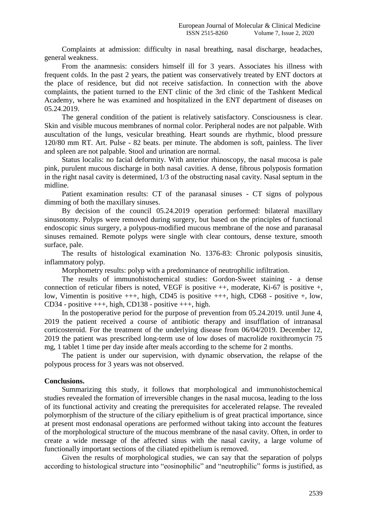Complaints at admission: difficulty in nasal breathing, nasal discharge, headaches, general weakness.

From the anamnesis: considers himself ill for 3 years. Associates his illness with frequent colds. In the past 2 years, the patient was conservatively treated by ENT doctors at the place of residence, but did not receive satisfaction. In connection with the above complaints, the patient turned to the ENT clinic of the 3rd clinic of the Tashkent Medical Academy, where he was examined and hospitalized in the ENT department of diseases on 05.24.2019.

The general condition of the patient is relatively satisfactory. Consciousness is clear. Skin and visible mucous membranes of normal color. Peripheral nodes are not palpable. With auscultation of the lungs, vesicular breathing. Heart sounds are rhythmic, blood pressure 120/80 mm RT. Art. Pulse - 82 beats. per minute. The abdomen is soft, painless. The liver and spleen are not palpable. Stool and urination are normal.

Status localis: no facial deformity. With anterior rhinoscopy, the nasal mucosa is pale pink, purulent mucous discharge in both nasal cavities. A dense, fibrous polyposis formation in the right nasal cavity is determined, 1/3 of the obstructing nasal cavity. Nasal septum in the midline.

Patient examination results: CT of the paranasal sinuses - CT signs of polypous dimming of both the maxillary sinuses.

By decision of the council 05.24.2019 operation performed: bilateral maxillary sinusotomy. Polyps were removed during surgery, but based on the principles of functional endoscopic sinus surgery, a polypous-modified mucous membrane of the nose and paranasal sinuses remained. Remote polyps were single with clear contours, dense texture, smooth surface, pale.

The results of histological examination No. 1376-83: Chronic polyposis sinusitis, inflammatory polyp.

Morphometry results: polyp with a predominance of neutrophilic infiltration.

The results of immunohistochemical studies: Gordon-Sweet staining - a dense connection of reticular fibers is noted, VEGF is positive ++, moderate, Ki-67 is positive +, low, Vimentin is positive  $++$ , high, CD45 is positive  $++$ , high, CD68 - positive  $+$ , low, CD34 - positive  $++$ , high, CD138 - positive  $++$ , high.

In the postoperative period for the purpose of prevention from 05.24.2019. until June 4, 2019 the patient received a course of antibiotic therapy and insufflation of intranasal corticosteroid. For the treatment of the underlying disease from 06/04/2019. December 12, 2019 the patient was prescribed long-term use of low doses of macrolide roxithromycin 75 mg, 1 tablet 1 time per day inside after meals according to the scheme for 2 months.

The patient is under our supervision, with dynamic observation, the relapse of the polypous process for 3 years was not observed.

### **Conclusions.**

Summarizing this study, it follows that morphological and immunohistochemical studies revealed the formation of irreversible changes in the nasal mucosa, leading to the loss of its functional activity and creating the prerequisites for accelerated relapse. The revealed polymorphism of the structure of the ciliary epithelium is of great practical importance, since at present most endonasal operations are performed without taking into account the features of the morphological structure of the mucous membrane of the nasal cavity. Often, in order to create a wide message of the affected sinus with the nasal cavity, a large volume of functionally important sections of the ciliated epithelium is removed.

Given the results of morphological studies, we can say that the separation of polyps according to histological structure into "eosinophilic" and "neutrophilic" forms is justified, as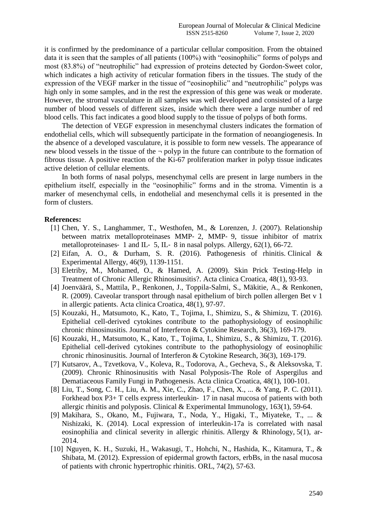it is confirmed by the predominance of a particular cellular composition. From the obtained data it is seen that the samples of all patients (100%) with "eosinophilic" forms of polyps and most (83.8%) of "neutrophilic" had expression of proteins detected by Gordon-Sweet color, which indicates a high activity of reticular formation fibers in the tissues. The study of the expression of the VEGF marker in the tissue of "eosinophilic" and "neutrophilic" polyps was high only in some samples, and in the rest the expression of this gene was weak or moderate. However, the stromal vasculature in all samples was well developed and consisted of a large number of blood vessels of different sizes, inside which there were a large number of red blood cells. This fact indicates a good blood supply to the tissue of polyps of both forms.

The detection of VEGF expression in mesenchymal clusters indicates the formation of endothelial cells, which will subsequently participate in the formation of neoangiogenesis. In the absence of a developed vasculature, it is possible to form new vessels. The appearance of new blood vessels in the tissue of the  $\neg$  polyp in the future can contribute to the formation of fibrous tissue. A positive reaction of the Ki-67 proliferation marker in polyp tissue indicates active deletion of cellular elements.

In both forms of nasal polyps, mesenchymal cells are present in large numbers in the epithelium itself, especially in the "eosinophilic" forms and in the stroma. Vimentin is a marker of mesenchymal cells, in endothelial and mesenchymal cells it is presented in the form of clusters.

#### **References:**

- [1] Chen, Y. S., Langhammer, T., Westhofen, M., & Lorenzen, J. (2007). Relationship between matrix metalloproteinases MMP‐ 2, MMP‐ 9, tissue inhibitor of matrix metalloproteinases‐ 1 and IL‐ 5, IL‐ 8 in nasal polyps. Allergy, 62(1), 66-72.
- [2] Eifan, A. O., & Durham, S. R. (2016). Pathogenesis of rhinitis. Clinical & Experimental Allergy, 46(9), 1139-1151.
- [3] Eletriby, M., Mohamed, O., & Hamed, A. (2009). Skin Prick Testing-Help in Treatment of Chronic Allergic Rhinosinusitis?. Acta clinica Croatica, 48(1), 93-93.
- [4] Joenväärä, S., Mattila, P., Renkonen, J., Toppila-Salmi, S., Mäkitie, A., & Renkonen, R. (2009). Caveolar transport through nasal epithelium of birch pollen allergen Bet v 1 in allergic patients. Acta clinica Croatica, 48(1), 97-97.
- [5] Kouzaki, H., Matsumoto, K., Kato, T., Tojima, I., Shimizu, S., & Shimizu, T. (2016). Epithelial cell-derived cytokines contribute to the pathophysiology of eosinophilic chronic rhinosinusitis. Journal of Interferon & Cytokine Research, 36(3), 169-179.
- [6] Kouzaki, H., Matsumoto, K., Kato, T., Tojima, I., Shimizu, S., & Shimizu, T. (2016). Epithelial cell-derived cytokines contribute to the pathophysiology of eosinophilic chronic rhinosinusitis. Journal of Interferon & Cytokine Research, 36(3), 169-179.
- [7] Kutsarov, A., Tzvetkova, V., Koleva, R., Todorova, A., Gecheva, S., & Aleksovska, T. (2009). Chronic Rhinosinusitis with Nasal Polyposis-The Role of Aspergilus and Dematiaceous Family Fungi in Pathogenesis. Acta clinica Croatica, 48(1), 100-101.
- [8] Liu, T., Song, C. H., Liu, A. M., Xie, C., Zhao, F., Chen, X., ... & Yang, P. C. (2011). Forkhead box P3+ T cells express interleukin‐ 17 in nasal mucosa of patients with both allergic rhinitis and polyposis. Clinical & Experimental Immunology,  $163(1)$ , 59-64.
- [9] Makihara, S., Okano, M., Fujiwara, T., Noda, Y., Higaki, T., Miyateke, T., ... & Nishizaki, K. (2014). Local expression of interleukin-17a is correlated with nasal eosinophilia and clinical severity in allergic rhinitis. Allergy & Rhinology, 5(1), ar-2014.
- [10] Nguyen, K. H., Suzuki, H., Wakasugi, T., Hohchi, N., Hashida, K., Kitamura, T., & Shibata, M. (2012). Expression of epidermal growth factors, erbBs, in the nasal mucosa of patients with chronic hypertrophic rhinitis. ORL, 74(2), 57-63.